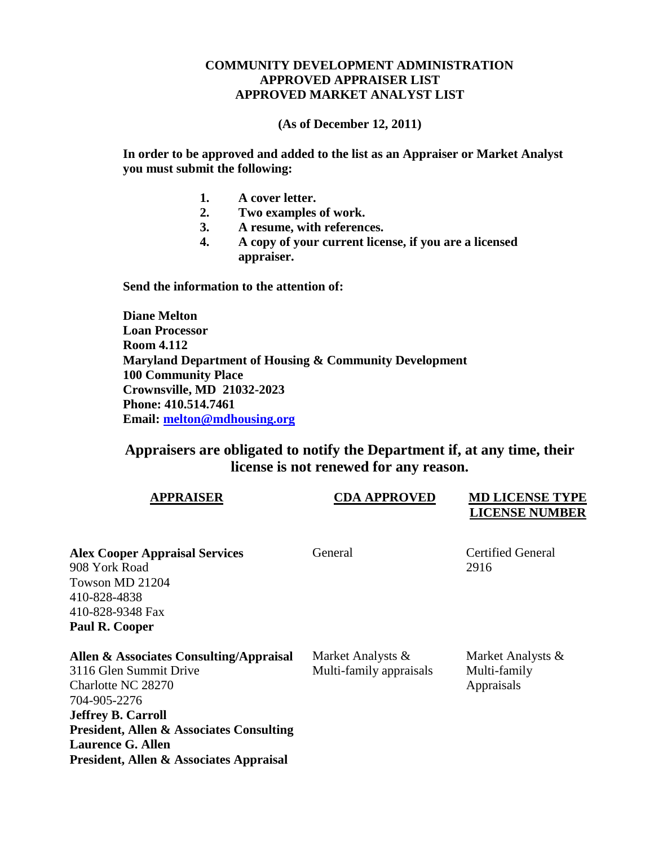## **COMMUNITY DEVELOPMENT ADMINISTRATION APPROVED APPRAISER LIST APPROVED MARKET ANALYST LIST**

**(As of December 12, 2011)**

**In order to be approved and added to the list as an Appraiser or Market Analyst you must submit the following:**

- **1. A cover letter.**
- **2. Two examples of work.**
- **3. A resume, with references.**
- **4. A copy of your current license, if you are a licensed appraiser.**

**Send the information to the attention of:**

**Diane Melton Loan Processor Room 4.112 Maryland Department of Housing & Community Development 100 Community Place Crownsville, MD 21032-2023 Phone: 410.514.7461 Email: [melton@mdhousing.org](mailto:melton@mdhousing.org)**

## **Appraisers are obligated to notify the Department if, at any time, their license is not renewed for any reason.**

| <b>APPRAISER</b>                                                                                                                                                                                                                                                   | <b>CDA APPROVED</b>                          | <b>MD LICENSE TYPE</b><br><b>LICENSE NUMBER</b> |
|--------------------------------------------------------------------------------------------------------------------------------------------------------------------------------------------------------------------------------------------------------------------|----------------------------------------------|-------------------------------------------------|
| <b>Alex Cooper Appraisal Services</b><br>908 York Road<br>Towson MD 21204<br>410-828-4838<br>410-828-9348 Fax<br>Paul R. Cooper                                                                                                                                    | General                                      | <b>Certified General</b><br>2916                |
| Allen & Associates Consulting/Appraisal<br>3116 Glen Summit Drive<br>Charlotte NC 28270<br>704-905-2276<br><b>Jeffrey B. Carroll</b><br><b>President, Allen &amp; Associates Consulting</b><br><b>Laurence G. Allen</b><br>President, Allen & Associates Appraisal | Market Analysts &<br>Multi-family appraisals | Market Analysts &<br>Multi-family<br>Appraisals |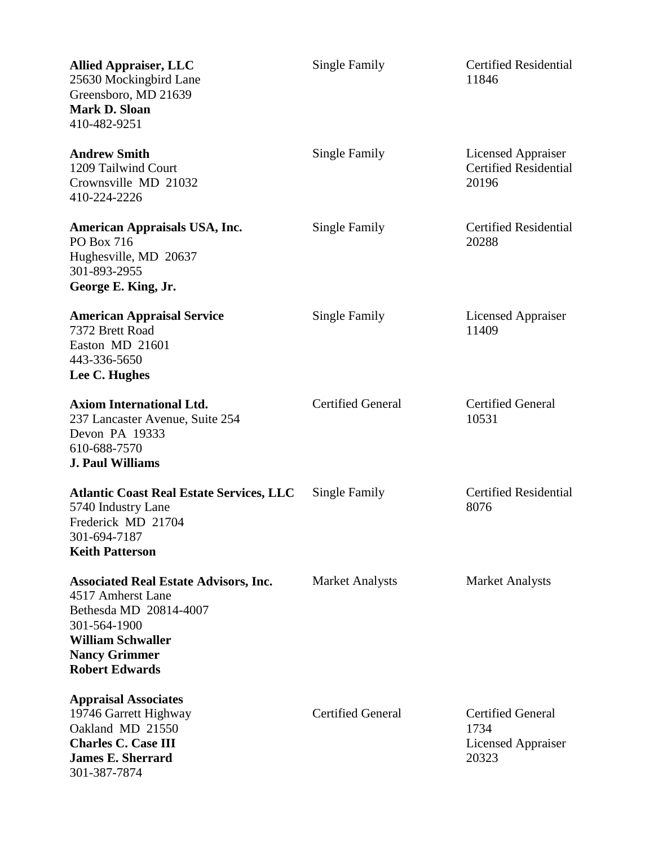| <b>Allied Appraiser, LLC</b><br>25630 Mockingbird Lane<br>Greensboro, MD 21639<br><b>Mark D. Sloan</b><br>410-482-9251                                                                   | Single Family            | <b>Certified Residential</b><br>11846                                  |
|------------------------------------------------------------------------------------------------------------------------------------------------------------------------------------------|--------------------------|------------------------------------------------------------------------|
| <b>Andrew Smith</b><br>1209 Tailwind Court<br>Crownsville MD 21032<br>410-224-2226                                                                                                       | Single Family            | Licensed Appraiser<br><b>Certified Residential</b><br>20196            |
| <b>American Appraisals USA, Inc.</b><br>PO Box 716<br>Hughesville, MD 20637<br>301-893-2955<br>George E. King, Jr.                                                                       | Single Family            | <b>Certified Residential</b><br>20288                                  |
| <b>American Appraisal Service</b><br>7372 Brett Road<br>Easton MD 21601<br>443-336-5650<br>Lee C. Hughes                                                                                 | Single Family            | <b>Licensed Appraiser</b><br>11409                                     |
| <b>Axiom International Ltd.</b><br>237 Lancaster Avenue, Suite 254<br>Devon PA 19333<br>610-688-7570<br><b>J. Paul Williams</b>                                                          | <b>Certified General</b> | <b>Certified General</b><br>10531                                      |
| <b>Atlantic Coast Real Estate Services, LLC</b><br>5740 Industry Lane<br>Frederick MD 21704<br>301-694-7187<br><b>Keith Patterson</b>                                                    | Single Family            | <b>Certified Residential</b><br>8076                                   |
| <b>Associated Real Estate Advisors, Inc.</b><br>4517 Amherst Lane<br>Bethesda MD 20814-4007<br>301-564-1900<br><b>William Schwaller</b><br><b>Nancy Grimmer</b><br><b>Robert Edwards</b> | <b>Market Analysts</b>   | <b>Market Analysts</b>                                                 |
| <b>Appraisal Associates</b><br>19746 Garrett Highway<br>Oakland MD 21550<br><b>Charles C. Case III</b><br><b>James E. Sherrard</b><br>301-387-7874                                       | <b>Certified General</b> | <b>Certified General</b><br>1734<br><b>Licensed Appraiser</b><br>20323 |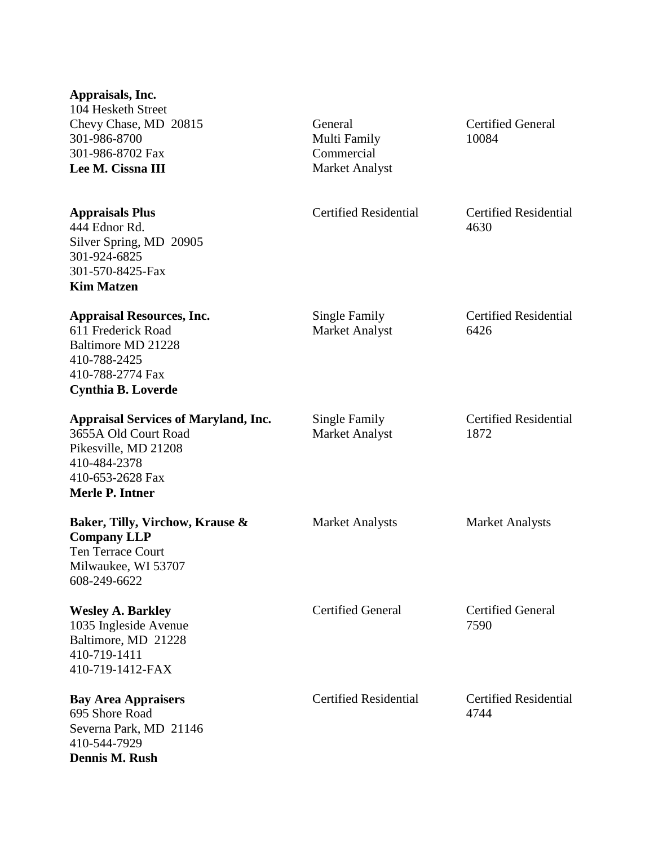| Appraisals, Inc.<br>104 Hesketh Street<br>Chevy Chase, MD 20815<br>301-986-8700<br>301-986-8702 Fax<br>Lee M. Cissna III                           | General<br>Multi Family<br>Commercial<br><b>Market Analyst</b> | <b>Certified General</b><br>10084    |
|----------------------------------------------------------------------------------------------------------------------------------------------------|----------------------------------------------------------------|--------------------------------------|
| <b>Appraisals Plus</b><br>444 Ednor Rd.<br>Silver Spring, MD 20905<br>301-924-6825<br>301-570-8425-Fax<br><b>Kim Matzen</b>                        | <b>Certified Residential</b>                                   | <b>Certified Residential</b><br>4630 |
| <b>Appraisal Resources, Inc.</b><br>611 Frederick Road<br>Baltimore MD 21228<br>410-788-2425<br>410-788-2774 Fax<br><b>Cynthia B. Loverde</b>      | Single Family<br><b>Market Analyst</b>                         | <b>Certified Residential</b><br>6426 |
| <b>Appraisal Services of Maryland, Inc.</b><br>3655A Old Court Road<br>Pikesville, MD 21208<br>410-484-2378<br>410-653-2628 Fax<br>Merle P. Intner | Single Family<br><b>Market Analyst</b>                         | <b>Certified Residential</b><br>1872 |
| Baker, Tilly, Virchow, Krause &<br><b>Company LLP</b><br>Ten Terrace Court<br>Milwaukee, WI 53707<br>608-249-6622                                  | <b>Market Analysts</b>                                         | <b>Market Analysts</b>               |
| <b>Wesley A. Barkley</b><br>1035 Ingleside Avenue<br>Baltimore, MD 21228<br>410-719-1411<br>410-719-1412-FAX                                       | <b>Certified General</b>                                       | <b>Certified General</b><br>7590     |
| <b>Bay Area Appraisers</b><br>695 Shore Road<br>Severna Park, MD 21146<br>410-544-7929<br>Dennis M. Rush                                           | <b>Certified Residential</b>                                   | <b>Certified Residential</b><br>4744 |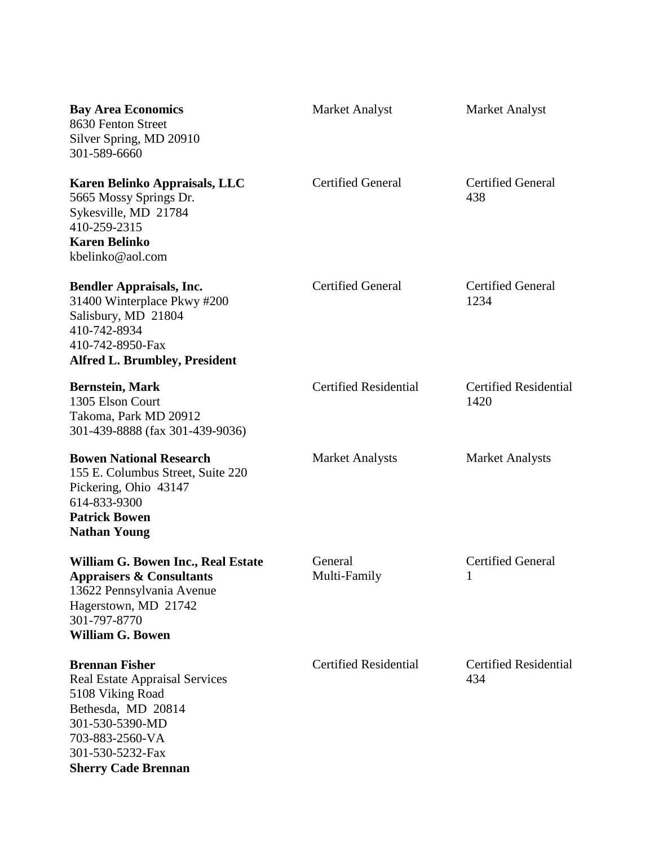| <b>Bay Area Economics</b><br>8630 Fenton Street<br>Silver Spring, MD 20910<br>301-589-6660                                                                                                       | <b>Market Analyst</b>        | <b>Market Analyst</b>                |
|--------------------------------------------------------------------------------------------------------------------------------------------------------------------------------------------------|------------------------------|--------------------------------------|
| Karen Belinko Appraisals, LLC<br>5665 Mossy Springs Dr.<br>Sykesville, MD 21784<br>410-259-2315<br><b>Karen Belinko</b><br>kbelinko@aol.com                                                      | <b>Certified General</b>     | <b>Certified General</b><br>438      |
| <b>Bendler Appraisals, Inc.</b><br>31400 Winterplace Pkwy #200<br>Salisbury, MD 21804<br>410-742-8934<br>410-742-8950-Fax<br><b>Alfred L. Brumbley, President</b>                                | <b>Certified General</b>     | <b>Certified General</b><br>1234     |
| <b>Bernstein, Mark</b><br>1305 Elson Court<br>Takoma, Park MD 20912<br>301-439-8888 (fax 301-439-9036)                                                                                           | <b>Certified Residential</b> | <b>Certified Residential</b><br>1420 |
| <b>Bowen National Research</b><br>155 E. Columbus Street, Suite 220<br>Pickering, Ohio 43147<br>614-833-9300<br><b>Patrick Bowen</b><br><b>Nathan Young</b>                                      | <b>Market Analysts</b>       | <b>Market Analysts</b>               |
| William G. Bowen Inc., Real Estate<br><b>Appraisers &amp; Consultants</b><br>13622 Pennsylvania Avenue<br>Hagerstown, MD 21742<br>301-797-8770<br><b>William G. Bowen</b>                        | General<br>Multi-Family      | <b>Certified General</b><br>1        |
| <b>Brennan Fisher</b><br><b>Real Estate Appraisal Services</b><br>5108 Viking Road<br>Bethesda, MD 20814<br>301-530-5390-MD<br>703-883-2560-VA<br>301-530-5232-Fax<br><b>Sherry Cade Brennan</b> | <b>Certified Residential</b> | <b>Certified Residential</b><br>434  |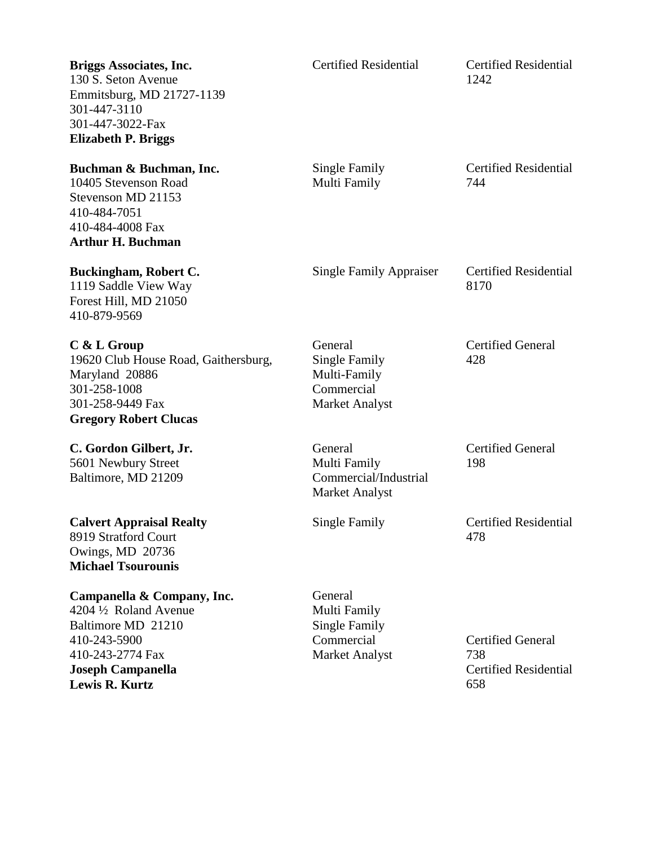| <b>Briggs Associates, Inc.</b><br>130 S. Seton Avenue<br>Emmitsburg, MD 21727-1139<br>301-447-3110<br>301-447-3022-Fax<br><b>Elizabeth P. Briggs</b>         | <b>Certified Residential</b>                                                           | <b>Certified Residential</b><br>1242                                   |
|--------------------------------------------------------------------------------------------------------------------------------------------------------------|----------------------------------------------------------------------------------------|------------------------------------------------------------------------|
| Buchman & Buchman, Inc.<br>10405 Stevenson Road<br>Stevenson MD 21153<br>410-484-7051<br>410-484-4008 Fax<br><b>Arthur H. Buchman</b>                        | Single Family<br>Multi Family                                                          | <b>Certified Residential</b><br>744                                    |
| <b>Buckingham, Robert C.</b><br>1119 Saddle View Way<br>Forest Hill, MD 21050<br>410-879-9569                                                                | <b>Single Family Appraiser</b>                                                         | <b>Certified Residential</b><br>8170                                   |
| C & L Group<br>19620 Club House Road, Gaithersburg,<br>Maryland 20886<br>301-258-1008<br>301-258-9449 Fax<br><b>Gregory Robert Clucas</b>                    | General<br><b>Single Family</b><br>Multi-Family<br>Commercial<br><b>Market Analyst</b> | <b>Certified General</b><br>428                                        |
| C. Gordon Gilbert, Jr.<br>5601 Newbury Street<br>Baltimore, MD 21209                                                                                         | General<br>Multi Family<br>Commercial/Industrial<br><b>Market Analyst</b>              | <b>Certified General</b><br>198                                        |
| <b>Calvert Appraisal Realty</b><br>8919 Stratford Court<br>Owings, MD 20736<br><b>Michael Tsourounis</b>                                                     | Single Family                                                                          | <b>Certified Residential</b><br>478                                    |
| Campanella & Company, Inc.<br>4204 1/2 Roland Avenue<br>Baltimore MD 21210<br>410-243-5900<br>410-243-2774 Fax<br><b>Joseph Campanella</b><br>Lewis R. Kurtz | General<br>Multi Family<br><b>Single Family</b><br>Commercial<br><b>Market Analyst</b> | <b>Certified General</b><br>738<br><b>Certified Residential</b><br>658 |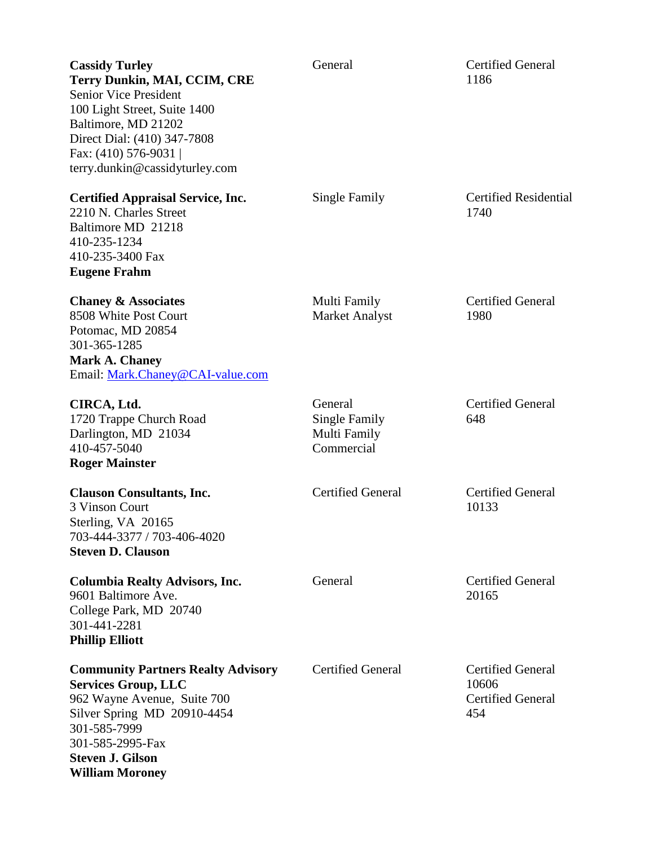| <b>Cassidy Turley</b><br>Terry Dunkin, MAI, CCIM, CRE<br><b>Senior Vice President</b><br>100 Light Street, Suite 1400<br>Baltimore, MD 21202<br>Direct Dial: (410) 347-7808<br>Fax: (410) 576-9031  <br>terry.dunkin@cassidyturley.com | General                                                | <b>Certified General</b><br>1186                                     |
|----------------------------------------------------------------------------------------------------------------------------------------------------------------------------------------------------------------------------------------|--------------------------------------------------------|----------------------------------------------------------------------|
| <b>Certified Appraisal Service, Inc.</b><br>2210 N. Charles Street<br>Baltimore MD 21218<br>410-235-1234<br>410-235-3400 Fax<br><b>Eugene Frahm</b>                                                                                    | Single Family                                          | <b>Certified Residential</b><br>1740                                 |
| <b>Chaney &amp; Associates</b><br>8508 White Post Court<br>Potomac, MD 20854<br>301-365-1285<br><b>Mark A. Chaney</b><br>Email: Mark.Chaney@CAI-value.com                                                                              | Multi Family<br><b>Market Analyst</b>                  | <b>Certified General</b><br>1980                                     |
| CIRCA, Ltd.<br>1720 Trappe Church Road<br>Darlington, MD 21034<br>410-457-5040<br><b>Roger Mainster</b>                                                                                                                                | General<br>Single Family<br>Multi Family<br>Commercial | <b>Certified General</b><br>648                                      |
| <b>Clauson Consultants, Inc.</b><br>3 Vinson Court<br>Sterling, VA 20165<br>703-444-3377 / 703-406-4020<br><b>Steven D. Clauson</b>                                                                                                    | <b>Certified General</b>                               | <b>Certified General</b><br>10133                                    |
| <b>Columbia Realty Advisors, Inc.</b><br>9601 Baltimore Ave.<br>College Park, MD 20740<br>301-441-2281<br><b>Phillip Elliott</b>                                                                                                       | General                                                | <b>Certified General</b><br>20165                                    |
| <b>Community Partners Realty Advisory</b><br><b>Services Group, LLC</b><br>962 Wayne Avenue, Suite 700<br>Silver Spring MD 20910-4454<br>301-585-7999<br>301-585-2995-Fax<br><b>Steven J. Gilson</b><br><b>William Moroney</b>         | <b>Certified General</b>                               | <b>Certified General</b><br>10606<br><b>Certified General</b><br>454 |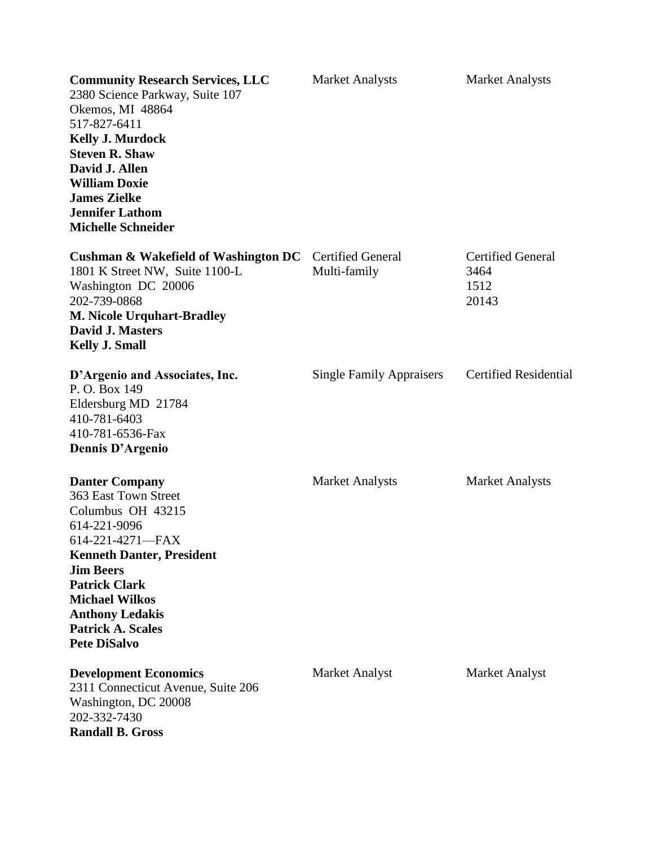| <b>Community Research Services, LLC</b><br>2380 Science Parkway, Suite 107<br>Okemos, MI 48864<br>517-827-6411<br><b>Kelly J. Murdock</b><br><b>Steven R. Shaw</b><br>David J. Allen<br><b>William Doxie</b><br><b>James Zielke</b><br><b>Jennifer Lathom</b><br><b>Michelle Schneider</b>   | <b>Market Analysts</b>                   | <b>Market Analysts</b>                            |
|----------------------------------------------------------------------------------------------------------------------------------------------------------------------------------------------------------------------------------------------------------------------------------------------|------------------------------------------|---------------------------------------------------|
| <b>Cushman &amp; Wakefield of Washington DC</b><br>1801 K Street NW, Suite 1100-L<br>Washington DC 20006<br>202-739-0868<br><b>M. Nicole Urquhart-Bradley</b><br><b>David J. Masters</b><br><b>Kelly J. Small</b>                                                                            | <b>Certified General</b><br>Multi-family | <b>Certified General</b><br>3464<br>1512<br>20143 |
| D'Argenio and Associates, Inc.<br>P.O. Box 149<br>Eldersburg MD 21784<br>410-781-6403<br>410-781-6536-Fax<br>Dennis D'Argenio                                                                                                                                                                | <b>Single Family Appraisers</b>          | <b>Certified Residential</b>                      |
| <b>Danter Company</b><br>363 East Town Street<br>Columbus OH 43215<br>614-221-9096<br>614-221-4271-FAX<br><b>Kenneth Danter, President</b><br><b>Jim Beers</b><br><b>Patrick Clark</b><br><b>Michael Wilkos</b><br><b>Anthony Ledakis</b><br><b>Patrick A. Scales</b><br><b>Pete DiSalvo</b> | <b>Market Analysts</b>                   | <b>Market Analysts</b>                            |
| <b>Development Economics</b><br>2311 Connecticut Avenue, Suite 206<br>Washington, DC 20008<br>202-332-7430<br><b>Randall B. Gross</b>                                                                                                                                                        | Market Analyst                           | <b>Market Analyst</b>                             |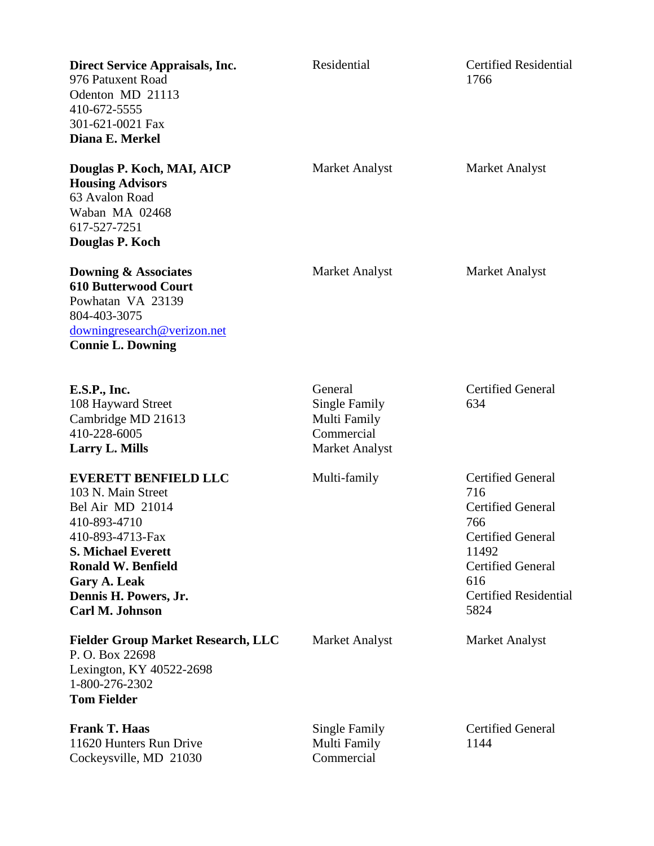| <b>Direct Service Appraisals, Inc.</b><br>976 Patuxent Road<br>Odenton MD 21113<br>410-672-5555<br>301-621-0021 Fax<br>Diana E. Merkel                                                                                                 | Residential                                                                            | <b>Certified Residential</b><br>1766                                                                                                                                               |
|----------------------------------------------------------------------------------------------------------------------------------------------------------------------------------------------------------------------------------------|----------------------------------------------------------------------------------------|------------------------------------------------------------------------------------------------------------------------------------------------------------------------------------|
| Douglas P. Koch, MAI, AICP<br><b>Housing Advisors</b><br>63 Avalon Road<br>Waban MA 02468<br>617-527-7251<br>Douglas P. Koch                                                                                                           | Market Analyst                                                                         | <b>Market Analyst</b>                                                                                                                                                              |
| <b>Downing &amp; Associates</b><br><b>610 Butterwood Court</b><br>Powhatan VA 23139<br>804-403-3075<br>downingresearch@verizon.net<br><b>Connie L. Downing</b>                                                                         | Market Analyst                                                                         | <b>Market Analyst</b>                                                                                                                                                              |
| <b>E.S.P., Inc.</b><br>108 Hayward Street<br>Cambridge MD 21613<br>410-228-6005<br><b>Larry L. Mills</b>                                                                                                                               | General<br><b>Single Family</b><br>Multi Family<br>Commercial<br><b>Market Analyst</b> | <b>Certified General</b><br>634                                                                                                                                                    |
| <b>EVERETT BENFIELD LLC</b><br>103 N. Main Street<br>Bel Air MD 21014<br>410-893-4710<br>410-893-4713-Fax<br><b>S. Michael Everett</b><br><b>Ronald W. Benfield</b><br><b>Gary A. Leak</b><br>Dennis H. Powers, Jr.<br>Carl M. Johnson | Multi-family                                                                           | <b>Certified General</b><br>716<br><b>Certified General</b><br>766<br><b>Certified General</b><br>11492<br><b>Certified General</b><br>616<br><b>Certified Residential</b><br>5824 |
| <b>Fielder Group Market Research, LLC</b><br>P.O. Box 22698<br>Lexington, KY 40522-2698<br>1-800-276-2302<br><b>Tom Fielder</b>                                                                                                        | Market Analyst                                                                         | <b>Market Analyst</b>                                                                                                                                                              |
| <b>Frank T. Haas</b><br>11620 Hunters Run Drive<br>Cockeysville, MD 21030                                                                                                                                                              | Single Family<br>Multi Family<br>Commercial                                            | <b>Certified General</b><br>1144                                                                                                                                                   |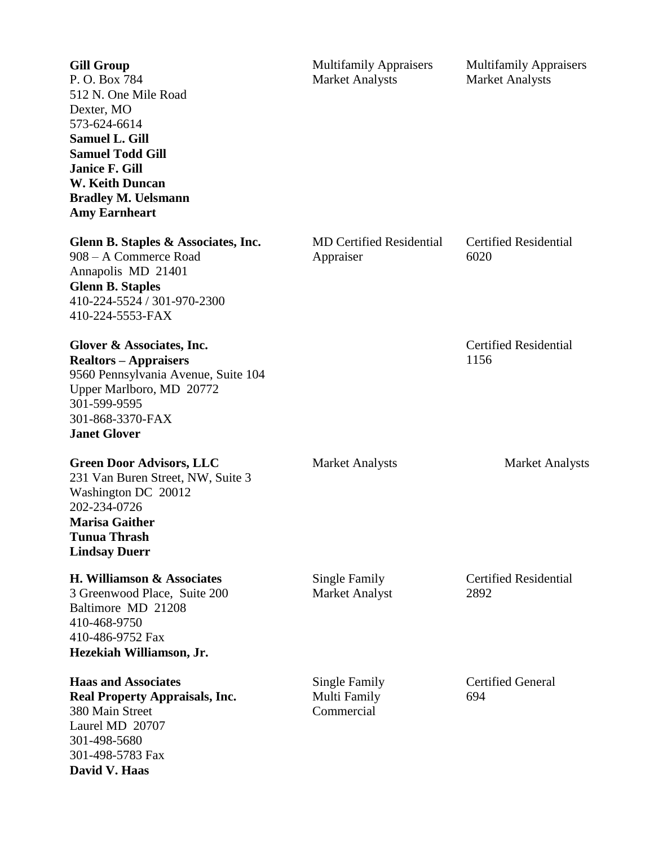| <b>Gill Group</b><br>P.O. Box 784<br>512 N. One Mile Road<br>Dexter, MO<br>573-624-6614<br><b>Samuel L. Gill</b><br><b>Samuel Todd Gill</b><br><b>Janice F. Gill</b><br><b>W. Keith Duncan</b><br><b>Bradley M. Uelsmann</b><br><b>Amy Earnheart</b> | <b>Multifamily Appraisers</b><br><b>Market Analysts</b> | <b>Multifamily Appraisers</b><br><b>Market Analysts</b> |
|------------------------------------------------------------------------------------------------------------------------------------------------------------------------------------------------------------------------------------------------------|---------------------------------------------------------|---------------------------------------------------------|
| Glenn B. Staples & Associates, Inc.<br>908 – A Commerce Road<br>Annapolis MD 21401<br><b>Glenn B. Staples</b><br>410-224-5524 / 301-970-2300<br>410-224-5553-FAX                                                                                     | <b>MD Certified Residential</b><br>Appraiser            | <b>Certified Residential</b><br>6020                    |
| Glover & Associates, Inc.<br><b>Realtors - Appraisers</b><br>9560 Pennsylvania Avenue, Suite 104<br>Upper Marlboro, MD 20772<br>301-599-9595<br>301-868-3370-FAX<br><b>Janet Glover</b>                                                              |                                                         | <b>Certified Residential</b><br>1156                    |
| <b>Green Door Advisors, LLC</b><br>231 Van Buren Street, NW, Suite 3<br>Washington DC 20012<br>202-234-0726<br><b>Marisa Gaither</b><br><b>Tunua Thrash</b><br><b>Lindsay Duerr</b>                                                                  | <b>Market Analysts</b>                                  | <b>Market Analysts</b>                                  |
| H. Williamson & Associates<br>3 Greenwood Place, Suite 200<br>Baltimore MD 21208<br>410-468-9750<br>410-486-9752 Fax<br>Hezekiah Williamson, Jr.                                                                                                     | <b>Single Family</b><br><b>Market Analyst</b>           | <b>Certified Residential</b><br>2892                    |
| <b>Haas and Associates</b><br><b>Real Property Appraisals, Inc.</b><br>380 Main Street<br>Laurel MD 20707<br>301-498-5680<br>301-498-5783 Fax<br>David V. Haas                                                                                       | Single Family<br>Multi Family<br>Commercial             | <b>Certified General</b><br>694                         |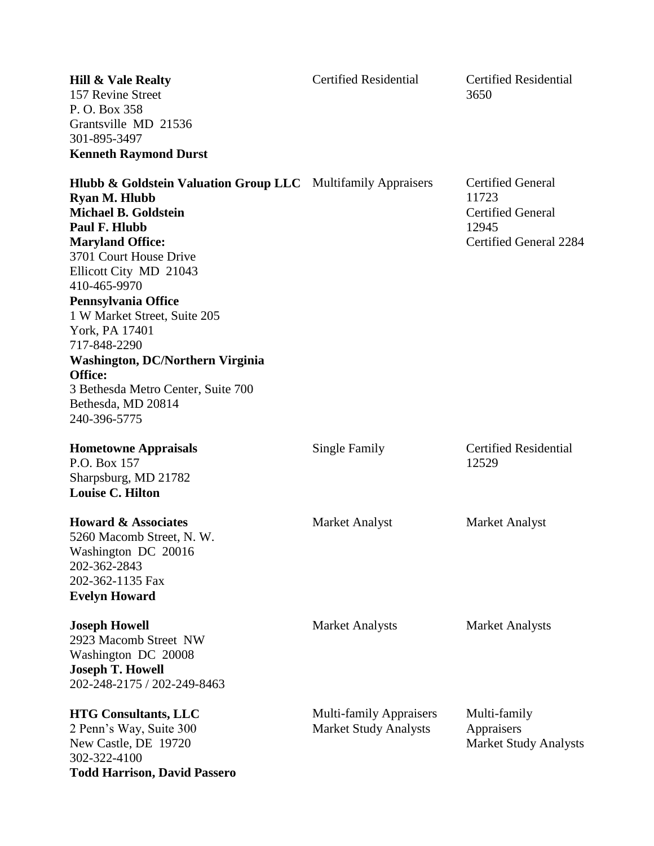| <b>Hill &amp; Vale Realty</b><br>157 Revine Street<br>P.O. Box 358<br>Grantsville MD 21536<br>301-895-3497<br><b>Kenneth Raymond Durst</b>                                                                                                                                                                                                                                                                                                                                | <b>Certified Residential</b>                                   | <b>Certified Residential</b><br>3650                                                             |
|---------------------------------------------------------------------------------------------------------------------------------------------------------------------------------------------------------------------------------------------------------------------------------------------------------------------------------------------------------------------------------------------------------------------------------------------------------------------------|----------------------------------------------------------------|--------------------------------------------------------------------------------------------------|
| <b>Hlubb &amp; Goldstein Valuation Group LLC</b> Multifamily Appraisers<br><b>Ryan M. Hlubb</b><br><b>Michael B. Goldstein</b><br>Paul F. Hlubb<br><b>Maryland Office:</b><br>3701 Court House Drive<br>Ellicott City MD 21043<br>410-465-9970<br>Pennsylvania Office<br>1 W Market Street, Suite 205<br>York, PA 17401<br>717-848-2290<br><b>Washington, DC/Northern Virginia</b><br>Office:<br>3 Bethesda Metro Center, Suite 700<br>Bethesda, MD 20814<br>240-396-5775 |                                                                | <b>Certified General</b><br>11723<br><b>Certified General</b><br>12945<br>Certified General 2284 |
| <b>Hometowne Appraisals</b><br>P.O. Box 157<br>Sharpsburg, MD 21782<br><b>Louise C. Hilton</b>                                                                                                                                                                                                                                                                                                                                                                            | Single Family                                                  | <b>Certified Residential</b><br>12529                                                            |
| <b>Howard &amp; Associates</b><br>5260 Macomb Street, N. W.<br>Washington DC 20016<br>202-362-2843<br>202-362-1135 Fax<br><b>Evelyn Howard</b>                                                                                                                                                                                                                                                                                                                            | <b>Market Analyst</b>                                          | <b>Market Analyst</b>                                                                            |
| <b>Joseph Howell</b><br>2923 Macomb Street NW<br>Washington DC 20008<br><b>Joseph T. Howell</b><br>202-248-2175 / 202-249-8463                                                                                                                                                                                                                                                                                                                                            | <b>Market Analysts</b>                                         | <b>Market Analysts</b>                                                                           |
| <b>HTG Consultants, LLC</b><br>2 Penn's Way, Suite 300<br>New Castle, DE 19720<br>302-322-4100<br><b>Todd Harrison, David Passero</b>                                                                                                                                                                                                                                                                                                                                     | <b>Multi-family Appraisers</b><br><b>Market Study Analysts</b> | Multi-family<br>Appraisers<br><b>Market Study Analysts</b>                                       |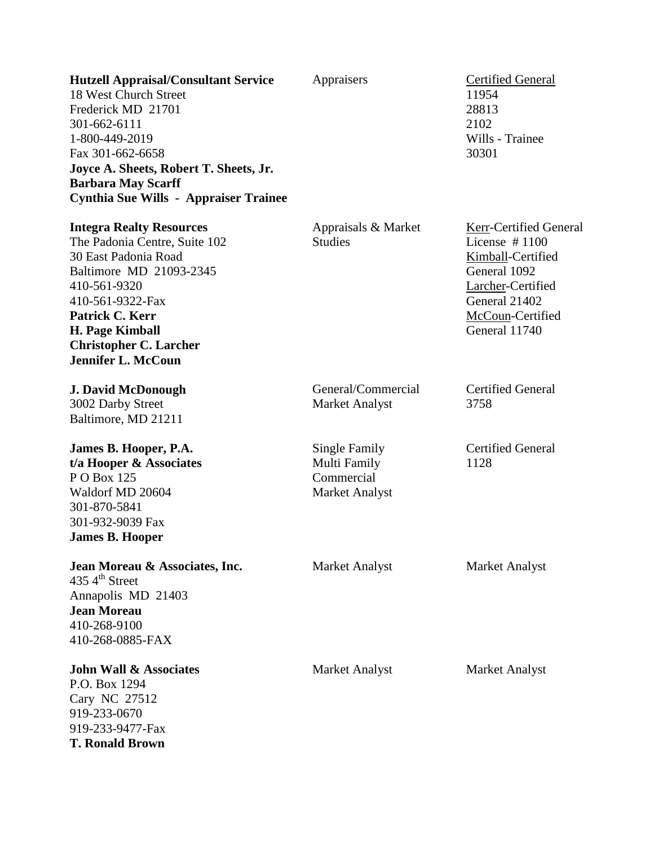| <b>Hutzell Appraisal/Consultant Service</b><br>18 West Church Street<br>Frederick MD 21701<br>301-662-6111<br>1-800-449-2019<br>Fax 301-662-6658<br>Joyce A. Sheets, Robert T. Sheets, Jr.<br><b>Barbara May Scarff</b><br><b>Cynthia Sue Wills - Appraiser Trainee</b> | Appraisers                                                           | <b>Certified General</b><br>11954<br>28813<br>2102<br>Wills - Trainee<br>30301                                                                            |
|-------------------------------------------------------------------------------------------------------------------------------------------------------------------------------------------------------------------------------------------------------------------------|----------------------------------------------------------------------|-----------------------------------------------------------------------------------------------------------------------------------------------------------|
| <b>Integra Realty Resources</b><br>The Padonia Centre, Suite 102<br>30 East Padonia Road<br>Baltimore MD 21093-2345<br>410-561-9320<br>410-561-9322-Fax<br>Patrick C. Kerr<br><b>H. Page Kimball</b><br><b>Christopher C. Larcher</b><br><b>Jennifer L. McCoun</b>      | Appraisals & Market<br><b>Studies</b>                                | Kerr-Certified General<br>License $#1100$<br>Kimball-Certified<br>General 1092<br>Larcher-Certified<br>General 21402<br>McCoun-Certified<br>General 11740 |
| <b>J. David McDonough</b><br>3002 Darby Street<br>Baltimore, MD 21211                                                                                                                                                                                                   | General/Commercial<br><b>Market Analyst</b>                          | <b>Certified General</b><br>3758                                                                                                                          |
| James B. Hooper, P.A.<br>t/a Hooper & Associates<br>PO Box 125<br>Waldorf MD 20604<br>301-870-5841<br>301-932-9039 Fax<br><b>James B. Hooper</b>                                                                                                                        | Single Family<br>Multi Family<br>Commercial<br><b>Market Analyst</b> | <b>Certified General</b><br>1128                                                                                                                          |
| Jean Moreau & Associates, Inc.<br>$4354^{\text{th}}$ Street<br>Annapolis MD 21403<br><b>Jean Moreau</b><br>410-268-9100<br>410-268-0885-FAX                                                                                                                             | <b>Market Analyst</b>                                                | <b>Market Analyst</b>                                                                                                                                     |
| <b>John Wall &amp; Associates</b><br>P.O. Box 1294<br>Cary NC 27512<br>919-233-0670<br>919-233-9477-Fax<br><b>T. Ronald Brown</b>                                                                                                                                       | <b>Market Analyst</b>                                                | <b>Market Analyst</b>                                                                                                                                     |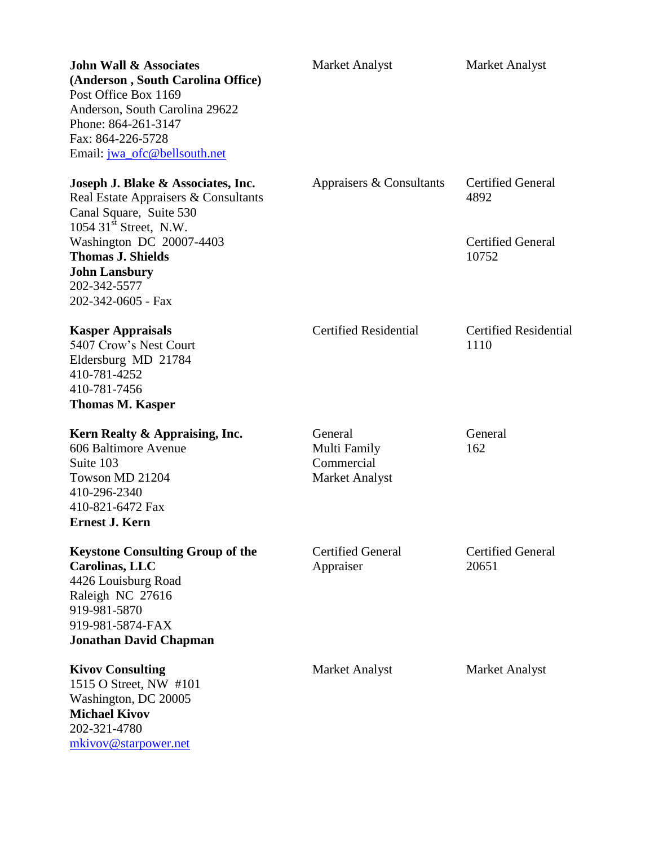| <b>John Wall &amp; Associates</b><br>(Anderson, South Carolina Office)<br>Post Office Box 1169<br>Anderson, South Carolina 29622<br>Phone: 864-261-3147<br>Fax: 864-226-5728<br>Email: jwa_ofc@bellsouth.net                                                        | <b>Market Analyst</b>                                          | <b>Market Analyst</b>                                                 |
|---------------------------------------------------------------------------------------------------------------------------------------------------------------------------------------------------------------------------------------------------------------------|----------------------------------------------------------------|-----------------------------------------------------------------------|
| Joseph J. Blake & Associates, Inc.<br>Real Estate Appraisers & Consultants<br>Canal Square, Suite 530<br>$1054$ 31 <sup>st</sup> Street, N.W.<br>Washington DC 20007-4403<br><b>Thomas J. Shields</b><br><b>John Lansbury</b><br>202-342-5577<br>202-342-0605 - Fax | Appraisers & Consultants                                       | <b>Certified General</b><br>4892<br><b>Certified General</b><br>10752 |
| <b>Kasper Appraisals</b><br>5407 Crow's Nest Court<br>Eldersburg MD 21784<br>410-781-4252<br>410-781-7456<br><b>Thomas M. Kasper</b>                                                                                                                                | <b>Certified Residential</b>                                   | <b>Certified Residential</b><br>1110                                  |
| Kern Realty & Appraising, Inc.<br>606 Baltimore Avenue<br>Suite 103<br>Towson MD 21204<br>410-296-2340<br>410-821-6472 Fax<br><b>Ernest J. Kern</b>                                                                                                                 | General<br>Multi Family<br>Commercial<br><b>Market Analyst</b> | General<br>162                                                        |
| <b>Keystone Consulting Group of the</b><br>Carolinas, LLC<br>4426 Louisburg Road<br>Raleigh NC 27616<br>919-981-5870<br>919-981-5874-FAX<br><b>Jonathan David Chapman</b>                                                                                           | <b>Certified General</b><br>Appraiser                          | <b>Certified General</b><br>20651                                     |
| <b>Kivov Consulting</b><br>1515 O Street, NW #101<br>Washington, DC 20005<br><b>Michael Kivov</b><br>202-321-4780<br>mkivov@starpower.net                                                                                                                           | Market Analyst                                                 | <b>Market Analyst</b>                                                 |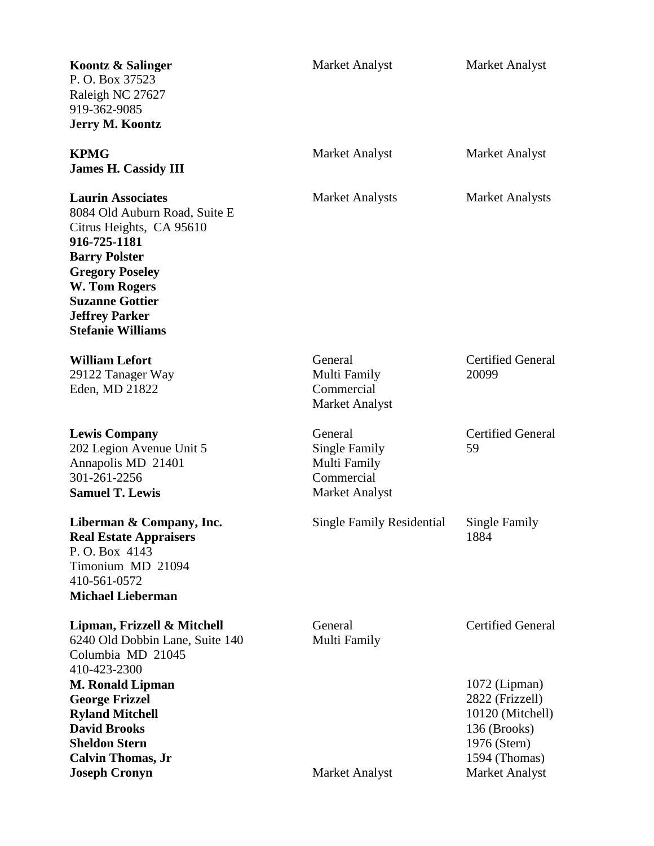| Koontz & Salinger<br>P. O. Box 37523<br>Raleigh NC 27627<br>919-362-9085<br><b>Jerry M. Koontz</b>                                                                                                                                                      | <b>Market Analyst</b>                                                    | Market Analyst                                                                                                                   |
|---------------------------------------------------------------------------------------------------------------------------------------------------------------------------------------------------------------------------------------------------------|--------------------------------------------------------------------------|----------------------------------------------------------------------------------------------------------------------------------|
| <b>KPMG</b><br><b>James H. Cassidy III</b>                                                                                                                                                                                                              | Market Analyst                                                           | Market Analyst                                                                                                                   |
| <b>Laurin Associates</b><br>8084 Old Auburn Road, Suite E<br>Citrus Heights, CA 95610<br>916-725-1181<br><b>Barry Polster</b><br><b>Gregory Poseley</b><br>W. Tom Rogers<br><b>Suzanne Gottier</b><br><b>Jeffrey Parker</b><br><b>Stefanie Williams</b> | <b>Market Analysts</b>                                                   | <b>Market Analysts</b>                                                                                                           |
| <b>William Lefort</b><br>29122 Tanager Way<br>Eden, MD 21822                                                                                                                                                                                            | General<br>Multi Family<br>Commercial<br><b>Market Analyst</b>           | <b>Certified General</b><br>20099                                                                                                |
| <b>Lewis Company</b><br>202 Legion Avenue Unit 5<br>Annapolis MD 21401<br>301-261-2256<br><b>Samuel T. Lewis</b>                                                                                                                                        | General<br>Single Family<br>Multi Family<br>Commercial<br>Market Analyst | <b>Certified General</b><br>59                                                                                                   |
| Liberman & Company, Inc.<br><b>Real Estate Appraisers</b><br>P.O. Box 4143<br>Timonium MD 21094<br>410-561-0572<br><b>Michael Lieberman</b>                                                                                                             | Single Family Residential                                                | Single Family<br>1884                                                                                                            |
| Lipman, Frizzell & Mitchell<br>6240 Old Dobbin Lane, Suite 140<br>Columbia MD 21045<br>410-423-2300                                                                                                                                                     | General<br>Multi Family                                                  | <b>Certified General</b>                                                                                                         |
| <b>M. Ronald Lipman</b><br><b>George Frizzel</b><br><b>Ryland Mitchell</b><br><b>David Brooks</b><br><b>Sheldon Stern</b><br><b>Calvin Thomas, Jr</b><br><b>Joseph Cronyn</b>                                                                           | <b>Market Analyst</b>                                                    | $1072$ (Lipman)<br>2822 (Frizzell)<br>10120 (Mitchell)<br>136 (Brooks)<br>1976 (Stern)<br>1594 (Thomas)<br><b>Market Analyst</b> |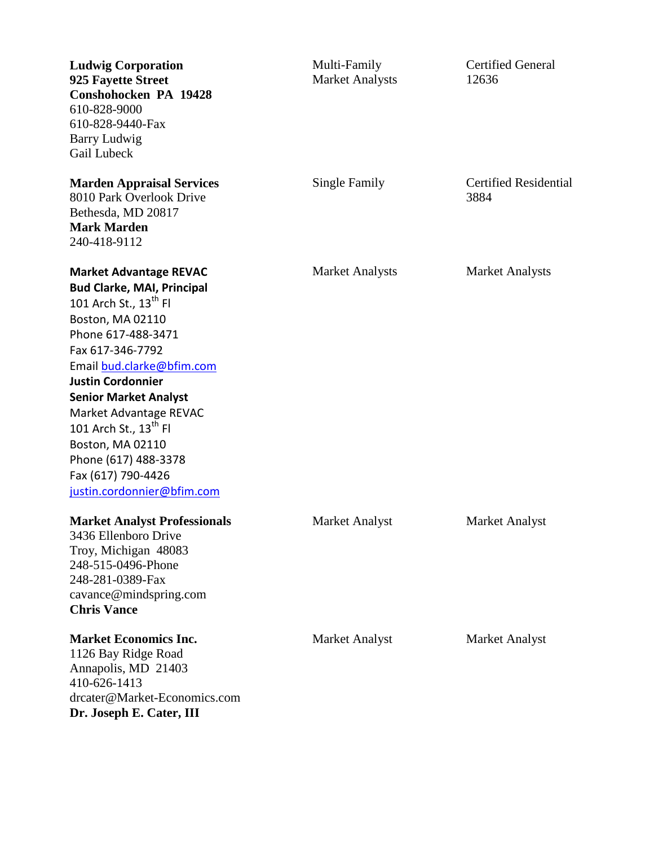| <b>Ludwig Corporation</b><br>925 Fayette Street<br>Conshohocken PA 19428<br>610-828-9000<br>610-828-9440-Fax<br>Barry Ludwig<br>Gail Lubeck                                                                                                                                                                                                                                                                                   | Multi-Family<br><b>Market Analysts</b> | <b>Certified General</b><br>12636    |
|-------------------------------------------------------------------------------------------------------------------------------------------------------------------------------------------------------------------------------------------------------------------------------------------------------------------------------------------------------------------------------------------------------------------------------|----------------------------------------|--------------------------------------|
| <b>Marden Appraisal Services</b><br>8010 Park Overlook Drive<br>Bethesda, MD 20817<br><b>Mark Marden</b><br>240-418-9112                                                                                                                                                                                                                                                                                                      | Single Family                          | <b>Certified Residential</b><br>3884 |
| <b>Market Advantage REVAC</b><br><b>Bud Clarke, MAI, Principal</b><br>101 Arch St., $13^{\text{th}}$ Fl<br>Boston, MA 02110<br>Phone 617-488-3471<br>Fax 617-346-7792<br>Email bud.clarke@bfim.com<br><b>Justin Cordonnier</b><br><b>Senior Market Analyst</b><br>Market Advantage REVAC<br>101 Arch St., $13^{\text{th}}$ Fl<br>Boston, MA 02110<br>Phone (617) 488-3378<br>Fax (617) 790-4426<br>justin.cordonnier@bfim.com | <b>Market Analysts</b>                 | <b>Market Analysts</b>               |
| <b>Market Analyst Professionals</b><br>3436 Ellenboro Drive<br>Troy, Michigan 48083<br>248-515-0496-Phone<br>248-281-0389-Fax<br>cavance@mindspring.com<br><b>Chris Vance</b>                                                                                                                                                                                                                                                 | <b>Market Analyst</b>                  | <b>Market Analyst</b>                |
| <b>Market Economics Inc.</b><br>1126 Bay Ridge Road<br>Annapolis, MD 21403<br>410-626-1413<br>drcater@Market-Economics.com<br>Dr. Joseph E. Cater, III                                                                                                                                                                                                                                                                        | Market Analyst                         | <b>Market Analyst</b>                |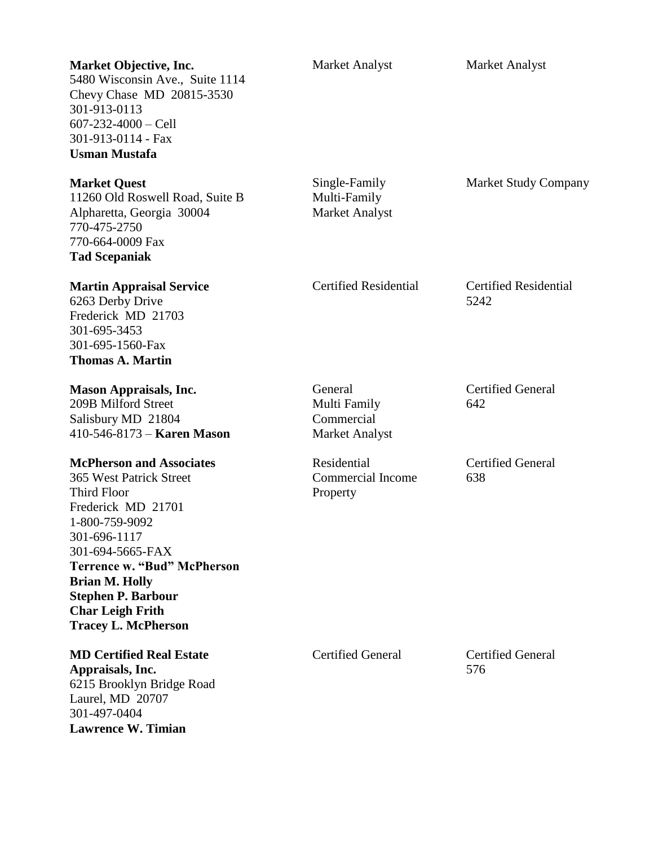| <b>Market Objective, Inc.</b><br>5480 Wisconsin Ave., Suite 1114<br>Chevy Chase MD 20815-3530<br>301-913-0113<br>$607 - 232 - 4000 - Cell$<br>301-913-0114 - Fax<br><b>Usman Mustafa</b>                                                                                                                                 | <b>Market Analyst</b>                                          | <b>Market Analyst</b>                |
|--------------------------------------------------------------------------------------------------------------------------------------------------------------------------------------------------------------------------------------------------------------------------------------------------------------------------|----------------------------------------------------------------|--------------------------------------|
| <b>Market Quest</b><br>11260 Old Roswell Road, Suite B<br>Alpharetta, Georgia 30004<br>770-475-2750<br>770-664-0009 Fax<br><b>Tad Scepaniak</b>                                                                                                                                                                          | Single-Family<br>Multi-Family<br><b>Market Analyst</b>         | <b>Market Study Company</b>          |
| <b>Martin Appraisal Service</b><br>6263 Derby Drive<br>Frederick MD 21703<br>301-695-3453<br>301-695-1560-Fax<br><b>Thomas A. Martin</b>                                                                                                                                                                                 | <b>Certified Residential</b>                                   | <b>Certified Residential</b><br>5242 |
| <b>Mason Appraisals, Inc.</b><br>209B Milford Street<br>Salisbury MD 21804<br>$410 - 546 - 8173 -$ <b>Karen Mason</b>                                                                                                                                                                                                    | General<br>Multi Family<br>Commercial<br><b>Market Analyst</b> | <b>Certified General</b><br>642      |
| <b>McPherson and Associates</b><br><b>365 West Patrick Street</b><br><b>Third Floor</b><br>Frederick MD 21701<br>1-800-759-9092<br>301-696-1117<br>301-694-5665-FAX<br><b>Terrence w. "Bud" McPherson</b><br><b>Brian M. Holly</b><br><b>Stephen P. Barbour</b><br><b>Char Leigh Frith</b><br><b>Tracey L. McPherson</b> | Residential<br><b>Commercial Income</b><br>Property            | <b>Certified General</b><br>638      |
| <b>MD Certified Real Estate</b><br>Appraisals, Inc.<br>6215 Brooklyn Bridge Road<br>Laurel, MD 20707<br>301-497-0404<br><b>Lawrence W. Timian</b>                                                                                                                                                                        | <b>Certified General</b>                                       | <b>Certified General</b><br>576      |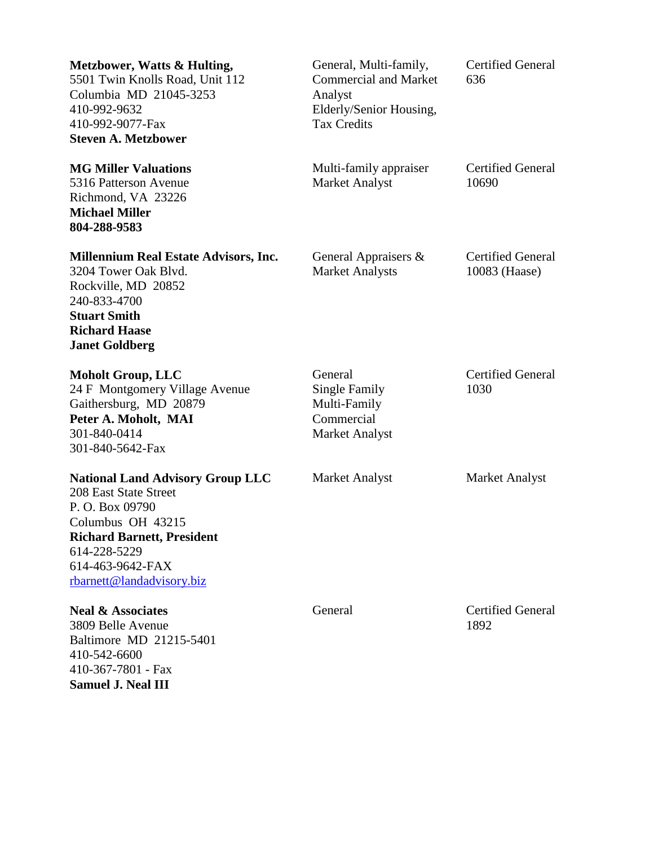| Metzbower, Watts & Hulting,<br>5501 Twin Knolls Road, Unit 112<br>Columbia MD 21045-3253<br>410-992-9632<br>410-992-9077-Fax<br><b>Steven A. Metzbower</b>                                                    | General, Multi-family,<br><b>Commercial and Market</b><br>Analyst<br>Elderly/Senior Housing,<br><b>Tax Credits</b> | <b>Certified General</b><br>636           |
|---------------------------------------------------------------------------------------------------------------------------------------------------------------------------------------------------------------|--------------------------------------------------------------------------------------------------------------------|-------------------------------------------|
| <b>MG Miller Valuations</b><br>5316 Patterson Avenue<br>Richmond, VA 23226<br><b>Michael Miller</b><br>804-288-9583                                                                                           | Multi-family appraiser<br><b>Market Analyst</b>                                                                    | <b>Certified General</b><br>10690         |
| <b>Millennium Real Estate Advisors, Inc.</b><br>3204 Tower Oak Blvd.<br>Rockville, MD 20852<br>240-833-4700<br><b>Stuart Smith</b><br><b>Richard Haase</b><br><b>Janet Goldberg</b>                           | General Appraisers &<br><b>Market Analysts</b>                                                                     | <b>Certified General</b><br>10083 (Haase) |
| <b>Moholt Group, LLC</b><br>24 F Montgomery Village Avenue<br>Gaithersburg, MD 20879<br>Peter A. Moholt, MAI<br>301-840-0414<br>301-840-5642-Fax                                                              | General<br><b>Single Family</b><br>Multi-Family<br>Commercial<br>Market Analyst                                    | <b>Certified General</b><br>1030          |
| <b>National Land Advisory Group LLC</b><br>208 East State Street<br>P.O. Box 09790<br>Columbus OH 43215<br><b>Richard Barnett, President</b><br>614-228-5229<br>614-463-9642-FAX<br>rbarnett@landadvisory.biz | <b>Market Analyst</b>                                                                                              | <b>Market Analyst</b>                     |
| <b>Neal &amp; Associates</b><br>3809 Belle Avenue<br>Baltimore MD 21215-5401<br>410-542-6600<br>410-367-7801 - Fax<br><b>Samuel J. Neal III</b>                                                               | General                                                                                                            | <b>Certified General</b><br>1892          |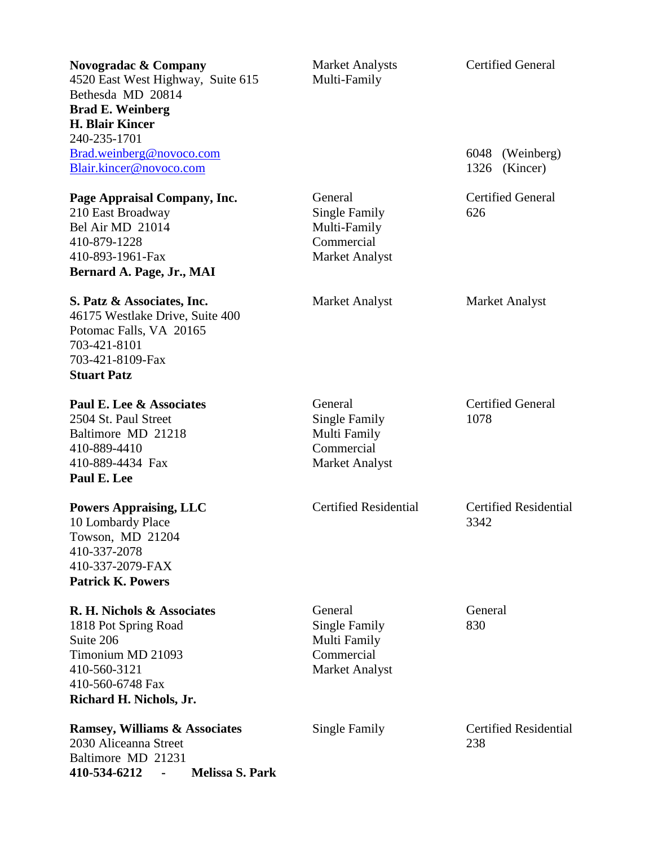| Novogradac & Company<br>4520 East West Highway, Suite 615<br>Bethesda MD 20814<br><b>Brad E. Weinberg</b><br><b>H. Blair Kincer</b>                 | <b>Market Analysts</b><br>Multi-Family                                                 | <b>Certified General</b>             |
|-----------------------------------------------------------------------------------------------------------------------------------------------------|----------------------------------------------------------------------------------------|--------------------------------------|
| 240-235-1701<br>Brad.weinberg@novoco.com<br>Blair.kincer@novoco.com                                                                                 |                                                                                        | 6048 (Weinberg)<br>1326<br>(Kincer)  |
| Page Appraisal Company, Inc.<br>210 East Broadway<br>Bel Air MD 21014<br>410-879-1228<br>410-893-1961-Fax<br>Bernard A. Page, Jr., MAI              | General<br>Single Family<br>Multi-Family<br>Commercial<br>Market Analyst               | <b>Certified General</b><br>626      |
| S. Patz & Associates, Inc.<br>46175 Westlake Drive, Suite 400<br>Potomac Falls, VA 20165<br>703-421-8101<br>703-421-8109-Fax<br><b>Stuart Patz</b>  | <b>Market Analyst</b>                                                                  | Market Analyst                       |
| Paul E. Lee & Associates<br>2504 St. Paul Street<br>Baltimore MD 21218<br>410-889-4410<br>410-889-4434 Fax<br>Paul E. Lee                           | General<br><b>Single Family</b><br>Multi Family<br>Commercial<br><b>Market Analyst</b> | <b>Certified General</b><br>1078     |
| <b>Powers Appraising, LLC</b><br>10 Lombardy Place<br>Towson, MD 21204<br>410-337-2078<br>410-337-2079-FAX<br><b>Patrick K. Powers</b>              | <b>Certified Residential</b>                                                           | <b>Certified Residential</b><br>3342 |
| R. H. Nichols & Associates<br>1818 Pot Spring Road<br>Suite 206<br>Timonium MD 21093<br>410-560-3121<br>410-560-6748 Fax<br>Richard H. Nichols, Jr. | General<br>Single Family<br>Multi Family<br>Commercial<br><b>Market Analyst</b>        | General<br>830                       |
| <b>Ramsey, Williams &amp; Associates</b><br>2030 Aliceanna Street<br>Baltimore MD 21231<br><b>Melissa S. Park</b><br>410-534-6212<br>$\blacksquare$ | Single Family                                                                          | <b>Certified Residential</b><br>238  |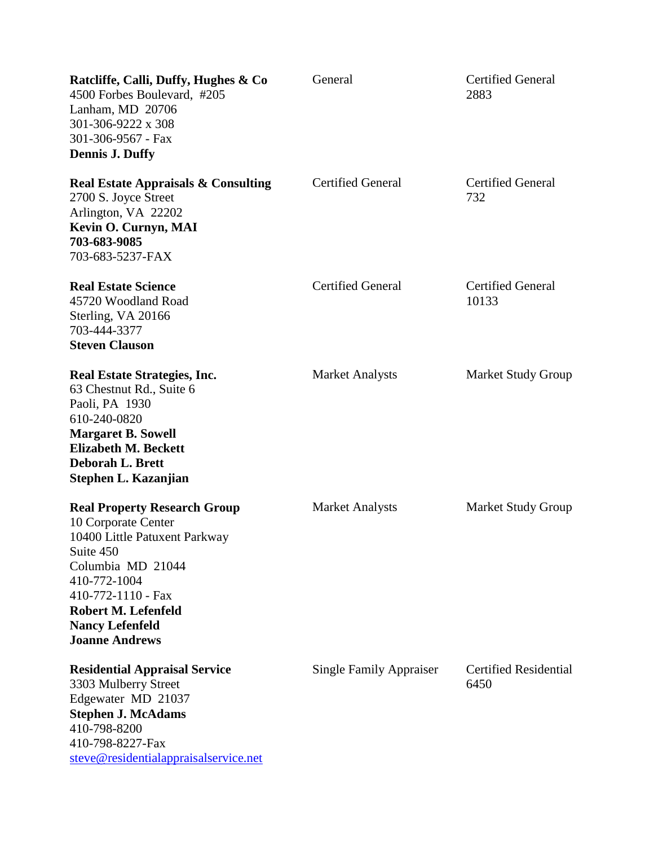| Ratcliffe, Calli, Duffy, Hughes & Co<br>4500 Forbes Boulevard, #205<br>Lanham, MD 20706<br>301-306-9222 x 308<br>301-306-9567 - Fax<br><b>Dennis J. Duffy</b>                                                                                 | General                        | <b>Certified General</b><br>2883     |
|-----------------------------------------------------------------------------------------------------------------------------------------------------------------------------------------------------------------------------------------------|--------------------------------|--------------------------------------|
| <b>Real Estate Appraisals &amp; Consulting</b><br>2700 S. Joyce Street<br>Arlington, VA 22202<br>Kevin O. Curnyn, MAI<br>703-683-9085<br>703-683-5237-FAX                                                                                     | <b>Certified General</b>       | <b>Certified General</b><br>732      |
| <b>Real Estate Science</b><br>45720 Woodland Road<br>Sterling, VA 20166<br>703-444-3377<br><b>Steven Clauson</b>                                                                                                                              | <b>Certified General</b>       | <b>Certified General</b><br>10133    |
| <b>Real Estate Strategies, Inc.</b><br>63 Chestnut Rd., Suite 6<br>Paoli, PA 1930<br>610-240-0820<br><b>Margaret B. Sowell</b><br><b>Elizabeth M. Beckett</b><br><b>Deborah L. Brett</b><br>Stephen L. Kazanjian                              | <b>Market Analysts</b>         | <b>Market Study Group</b>            |
| <b>Real Property Research Group</b><br>10 Corporate Center<br>10400 Little Patuxent Parkway<br>Suite 450<br>Columbia MD 21044<br>410-772-1004<br>410-772-1110 - Fax<br>Robert M. Lefenfeld<br><b>Nancy Lefenfeld</b><br><b>Joanne Andrews</b> | <b>Market Analysts</b>         | <b>Market Study Group</b>            |
| <b>Residential Appraisal Service</b><br>3303 Mulberry Street<br>Edgewater MD 21037<br><b>Stephen J. McAdams</b><br>410-798-8200<br>410-798-8227-Fax<br>steve@residentialappraisalservice.net                                                  | <b>Single Family Appraiser</b> | <b>Certified Residential</b><br>6450 |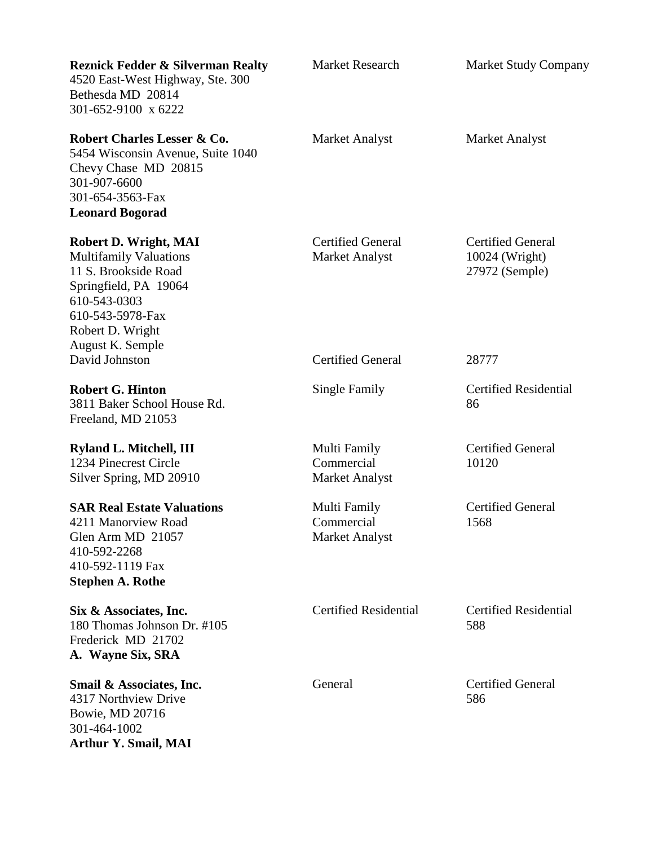| <b>Reznick Fedder &amp; Silverman Realty</b><br>4520 East-West Highway, Ste. 300<br>Bethesda MD 20814<br>301-652-9100 x 6222                                                        | <b>Market Research</b>                              | <b>Market Study Company</b>                                  |
|-------------------------------------------------------------------------------------------------------------------------------------------------------------------------------------|-----------------------------------------------------|--------------------------------------------------------------|
| Robert Charles Lesser & Co.<br>5454 Wisconsin Avenue, Suite 1040<br>Chevy Chase MD 20815<br>301-907-6600<br>301-654-3563-Fax<br><b>Leonard Bogorad</b>                              | Market Analyst                                      | Market Analyst                                               |
| Robert D. Wright, MAI<br><b>Multifamily Valuations</b><br>11 S. Brookside Road<br>Springfield, PA 19064<br>610-543-0303<br>610-543-5978-Fax<br>Robert D. Wright<br>August K. Semple | <b>Certified General</b><br><b>Market Analyst</b>   | <b>Certified General</b><br>10024 (Wright)<br>27972 (Semple) |
| David Johnston                                                                                                                                                                      | <b>Certified General</b>                            | 28777                                                        |
| <b>Robert G. Hinton</b><br>3811 Baker School House Rd.<br>Freeland, MD 21053                                                                                                        | Single Family                                       | <b>Certified Residential</b><br>86                           |
| Ryland L. Mitchell, III<br>1234 Pinecrest Circle<br>Silver Spring, MD 20910                                                                                                         | Multi Family<br>Commercial<br><b>Market Analyst</b> | <b>Certified General</b><br>10120                            |
| <b>SAR Real Estate Valuations</b><br>4211 Manorview Road<br>Glen Arm MD 21057<br>410-592-2268<br>410-592-1119 Fax<br><b>Stephen A. Rothe</b>                                        | Multi Family<br>Commercial<br>Market Analyst        | <b>Certified General</b><br>1568                             |
| Six & Associates, Inc.<br>180 Thomas Johnson Dr. #105<br>Frederick MD 21702<br>A. Wayne Six, SRA                                                                                    | <b>Certified Residential</b>                        | <b>Certified Residential</b><br>588                          |
| Smail & Associates, Inc.<br>4317 Northview Drive<br>Bowie, MD 20716<br>301-464-1002                                                                                                 | General                                             | <b>Certified General</b><br>586                              |

**Arthur Y. Smail, MAI**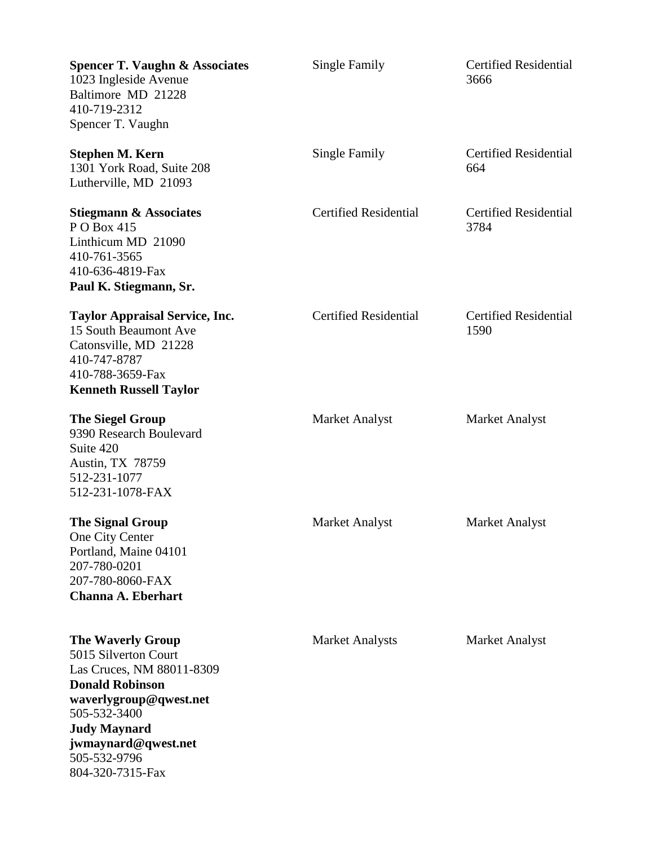| <b>Spencer T. Vaughn &amp; Associates</b><br>1023 Ingleside Avenue<br>Baltimore MD 21228<br>410-719-2312<br>Spencer T. Vaughn                                                                                                       | Single Family                | <b>Certified Residential</b><br>3666 |
|-------------------------------------------------------------------------------------------------------------------------------------------------------------------------------------------------------------------------------------|------------------------------|--------------------------------------|
| <b>Stephen M. Kern</b><br>1301 York Road, Suite 208<br>Lutherville, MD 21093                                                                                                                                                        | Single Family                | <b>Certified Residential</b><br>664  |
| <b>Stiegmann &amp; Associates</b><br>P O Box 415<br>Linthicum MD 21090<br>410-761-3565<br>410-636-4819-Fax<br>Paul K. Stiegmann, Sr.                                                                                                | <b>Certified Residential</b> | <b>Certified Residential</b><br>3784 |
| <b>Taylor Appraisal Service, Inc.</b><br>15 South Beaumont Ave<br>Catonsville, MD 21228<br>410-747-8787<br>410-788-3659-Fax<br><b>Kenneth Russell Taylor</b>                                                                        | <b>Certified Residential</b> | <b>Certified Residential</b><br>1590 |
| <b>The Siegel Group</b><br>9390 Research Boulevard<br>Suite 420<br><b>Austin, TX 78759</b><br>512-231-1077<br>512-231-1078-FAX                                                                                                      | <b>Market Analyst</b>        | <b>Market Analyst</b>                |
| <b>The Signal Group</b><br>One City Center<br>Portland, Maine 04101<br>207-780-0201<br>207-780-8060-FAX<br><b>Channa A. Eberhart</b>                                                                                                | Market Analyst               | Market Analyst                       |
| <b>The Waverly Group</b><br>5015 Silverton Court<br>Las Cruces, NM 88011-8309<br><b>Donald Robinson</b><br>waverlygroup@qwest.net<br>505-532-3400<br><b>Judy Maynard</b><br>jwmaynard@qwest.net<br>505-532-9796<br>804-320-7315-Fax | <b>Market Analysts</b>       | Market Analyst                       |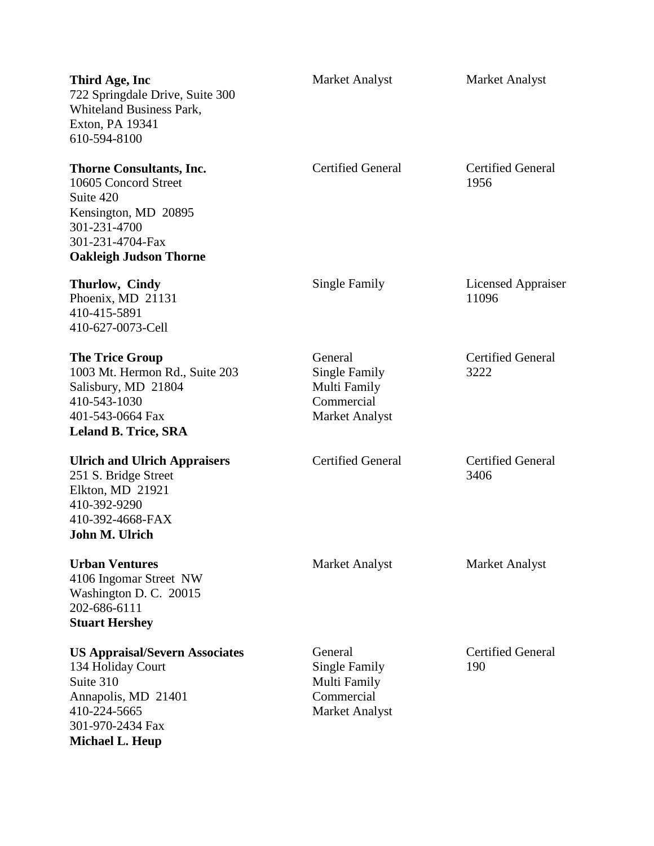| Third Age, Inc<br>722 Springdale Drive, Suite 300<br>Whiteland Business Park,<br>Exton, PA 19341<br>610-594-8100                                                  | <b>Market Analyst</b>                                                                  | <b>Market Analyst</b>            |
|-------------------------------------------------------------------------------------------------------------------------------------------------------------------|----------------------------------------------------------------------------------------|----------------------------------|
| <b>Thorne Consultants, Inc.</b><br>10605 Concord Street<br>Suite 420<br>Kensington, MD 20895<br>301-231-4700<br>301-231-4704-Fax<br><b>Oakleigh Judson Thorne</b> | <b>Certified General</b>                                                               | <b>Certified General</b><br>1956 |
| Thurlow, Cindy<br>Phoenix, MD 21131<br>410-415-5891<br>410-627-0073-Cell                                                                                          | Single Family                                                                          | Licensed Appraiser<br>11096      |
| <b>The Trice Group</b><br>1003 Mt. Hermon Rd., Suite 203<br>Salisbury, MD 21804<br>410-543-1030<br>401-543-0664 Fax<br><b>Leland B. Trice, SRA</b>                | General<br><b>Single Family</b><br>Multi Family<br>Commercial<br><b>Market Analyst</b> | <b>Certified General</b><br>3222 |
| <b>Ulrich and Ulrich Appraisers</b><br>251 S. Bridge Street<br>Elkton, MD 21921<br>410-392-9290<br>410-392-4668-FAX<br>John M. Ulrich                             | <b>Certified General</b>                                                               | <b>Certified General</b><br>3406 |
| <b>Urban Ventures</b><br>4106 Ingomar Street NW<br>Washington D. C. 20015<br>202-686-6111<br><b>Stuart Hershey</b>                                                | <b>Market Analyst</b>                                                                  | Market Analyst                   |
| <b>US Appraisal/Severn Associates</b><br>134 Holiday Court<br>Suite 310<br>Annapolis, MD 21401<br>410-224-5665<br>301-970-2434 Fax<br><b>Michael L. Heup</b>      | General<br>Single Family<br>Multi Family<br>Commercial<br><b>Market Analyst</b>        | <b>Certified General</b><br>190  |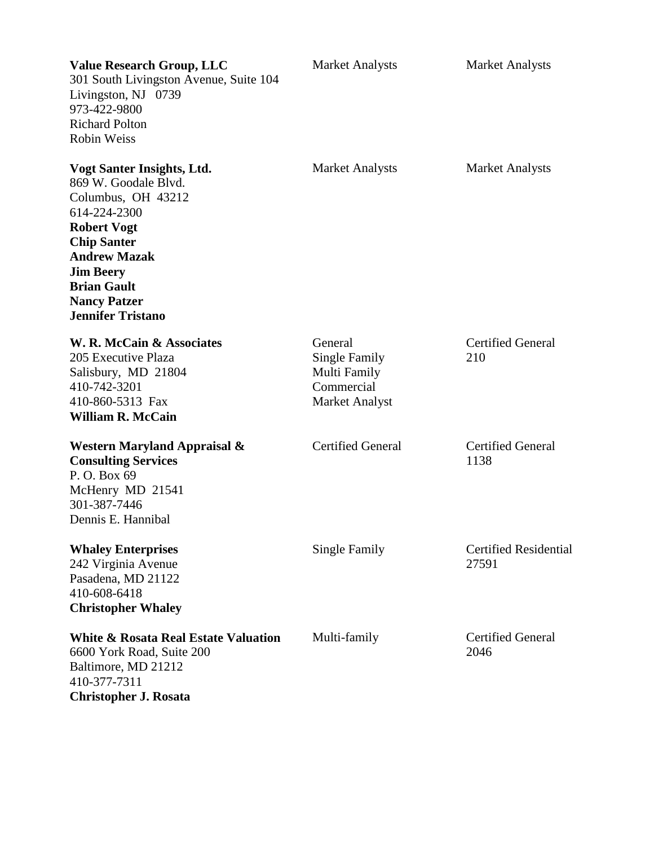| <b>Value Research Group, LLC</b><br>301 South Livingston Avenue, Suite 104<br>Livingston, NJ 0739<br>973-422-9800<br><b>Richard Polton</b><br><b>Robin Weiss</b>                                                                                         | <b>Market Analysts</b>                                                          | <b>Market Analysts</b>                |
|----------------------------------------------------------------------------------------------------------------------------------------------------------------------------------------------------------------------------------------------------------|---------------------------------------------------------------------------------|---------------------------------------|
| Vogt Santer Insights, Ltd.<br>869 W. Goodale Blvd.<br>Columbus, OH 43212<br>614-224-2300<br><b>Robert Vogt</b><br><b>Chip Santer</b><br><b>Andrew Mazak</b><br><b>Jim Beery</b><br><b>Brian Gault</b><br><b>Nancy Patzer</b><br><b>Jennifer Tristano</b> | <b>Market Analysts</b>                                                          | <b>Market Analysts</b>                |
| W. R. McCain & Associates<br>205 Executive Plaza<br>Salisbury, MD 21804<br>410-742-3201<br>410-860-5313 Fax<br><b>William R. McCain</b>                                                                                                                  | General<br>Single Family<br>Multi Family<br>Commercial<br><b>Market Analyst</b> | <b>Certified General</b><br>210       |
| Western Maryland Appraisal &<br><b>Consulting Services</b><br>P. O. Box 69<br>McHenry MD 21541<br>301-387-7446<br>Dennis E. Hannibal                                                                                                                     | <b>Certified General</b>                                                        | <b>Certified General</b><br>1138      |
| <b>Whaley Enterprises</b><br>242 Virginia Avenue<br>Pasadena, MD 21122<br>410-608-6418<br><b>Christopher Whaley</b>                                                                                                                                      | Single Family                                                                   | <b>Certified Residential</b><br>27591 |
| <b>White &amp; Rosata Real Estate Valuation</b><br>6600 York Road, Suite 200<br>Baltimore, MD 21212<br>410-377-7311<br><b>Christopher J. Rosata</b>                                                                                                      | Multi-family                                                                    | <b>Certified General</b><br>2046      |